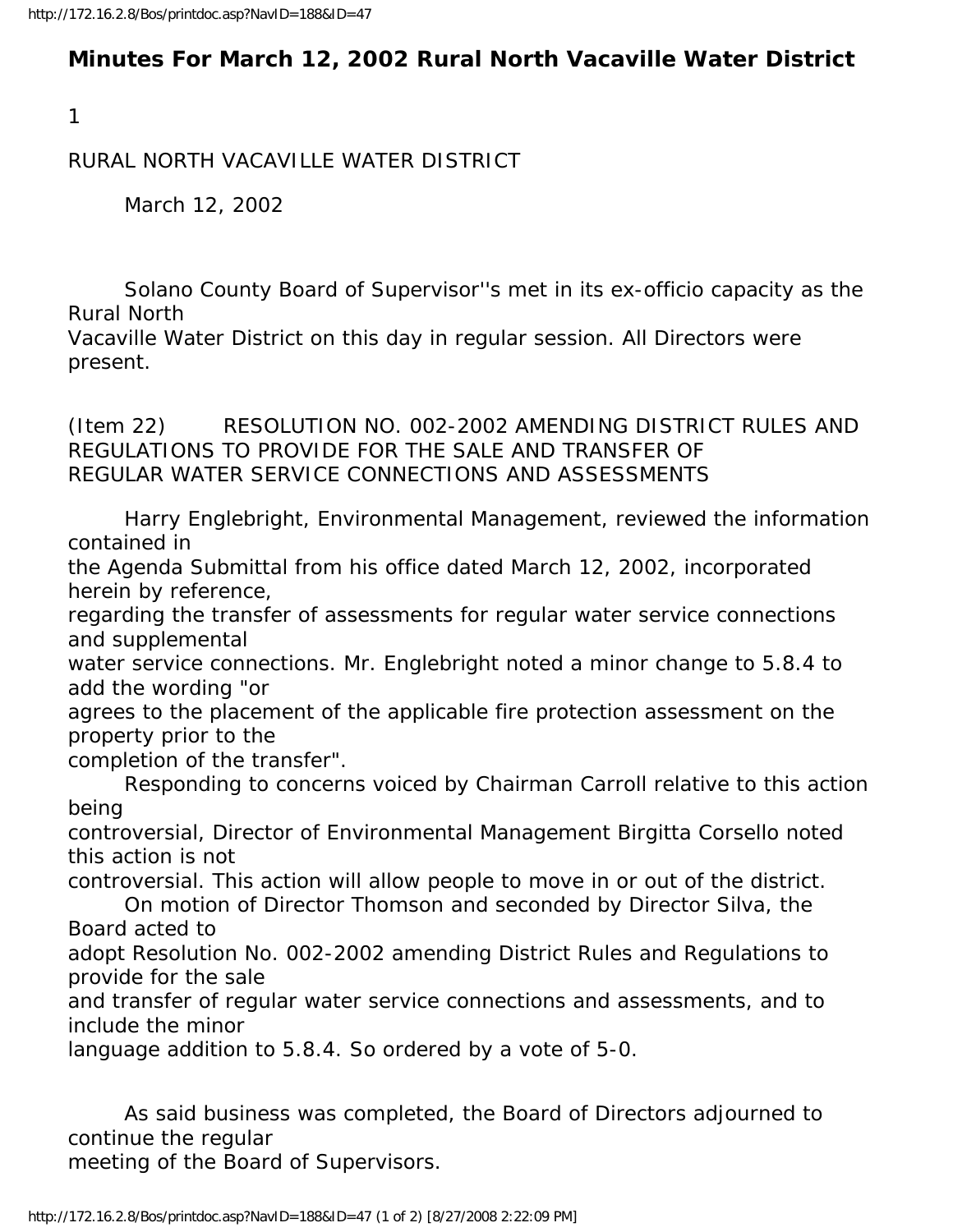## **Minutes For March 12, 2002 Rural North Vacaville Water District**

1

RURAL NORTH VACAVILLE WATER DISTRICT

March 12, 2002

 Solano County Board of Supervisor''s met in its ex-officio capacity as the Rural North

Vacaville Water District on this day in regular session. All Directors were present.

(Item 22) RESOLUTION NO. 002-2002 AMENDING DISTRICT RULES AND REGULATIONS TO PROVIDE FOR THE SALE AND TRANSFER OF REGULAR WATER SERVICE CONNECTIONS AND ASSESSMENTS

 Harry Englebright, Environmental Management, reviewed the information contained in

the Agenda Submittal from his office dated March 12, 2002, incorporated herein by reference,

regarding the transfer of assessments for regular water service connections and supplemental

water service connections. Mr. Englebright noted a minor change to 5.8.4 to add the wording "or

agrees to the placement of the applicable fire protection assessment on the property prior to the

completion of the transfer".

 Responding to concerns voiced by Chairman Carroll relative to this action being

controversial, Director of Environmental Management Birgitta Corsello noted this action is not

controversial. This action will allow people to move in or out of the district.

 On motion of Director Thomson and seconded by Director Silva, the Board acted to

adopt Resolution No. 002-2002 amending District Rules and Regulations to provide for the sale

and transfer of regular water service connections and assessments, and to include the minor

language addition to 5.8.4. So ordered by a vote of 5-0.

 As said business was completed, the Board of Directors adjourned to continue the regular

meeting of the Board of Supervisors.